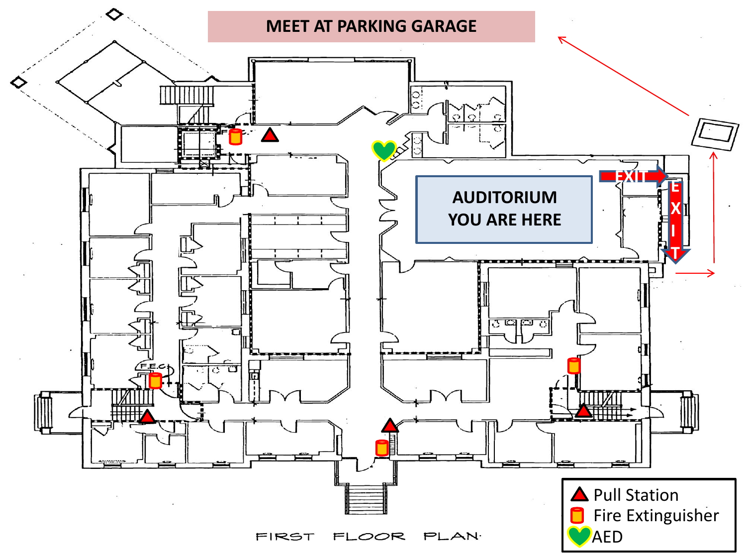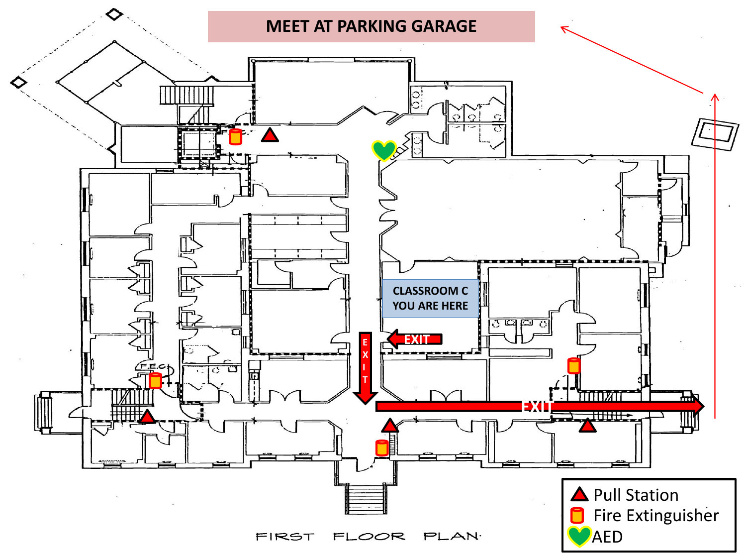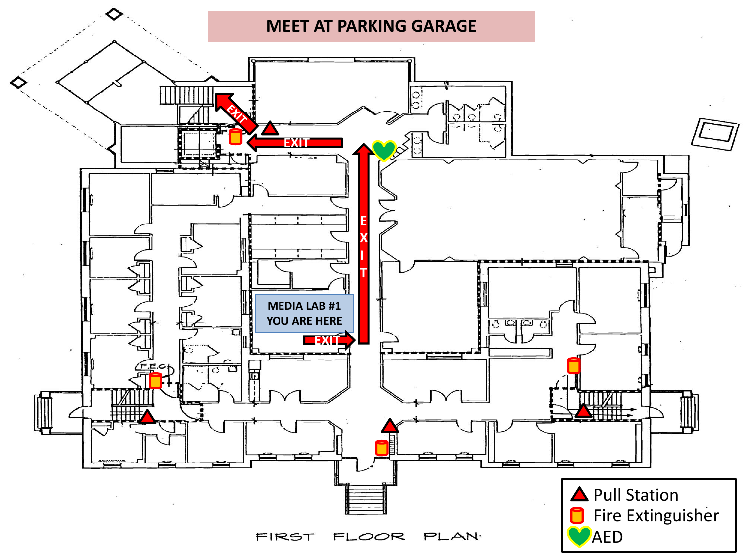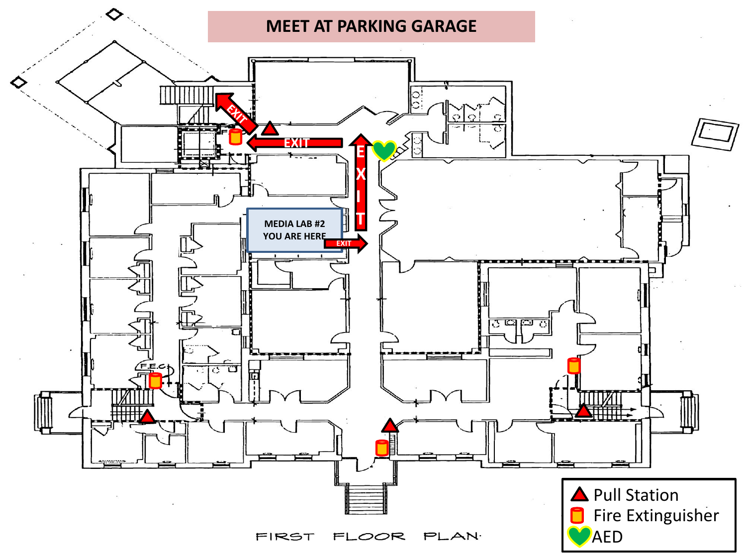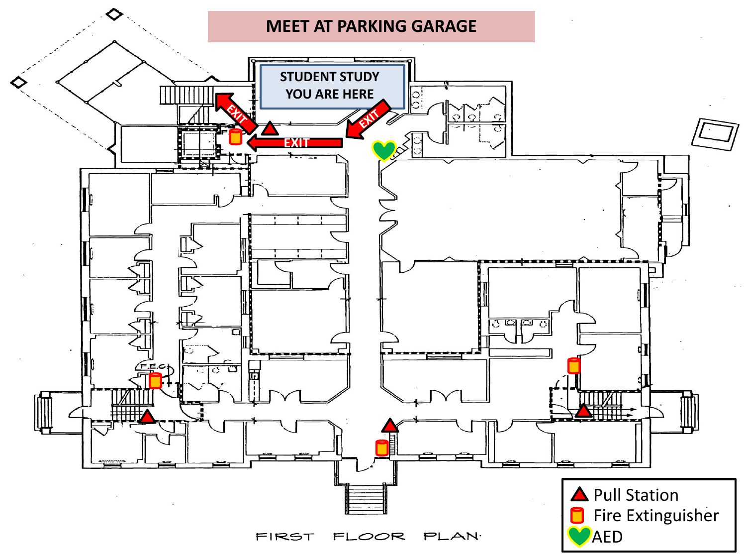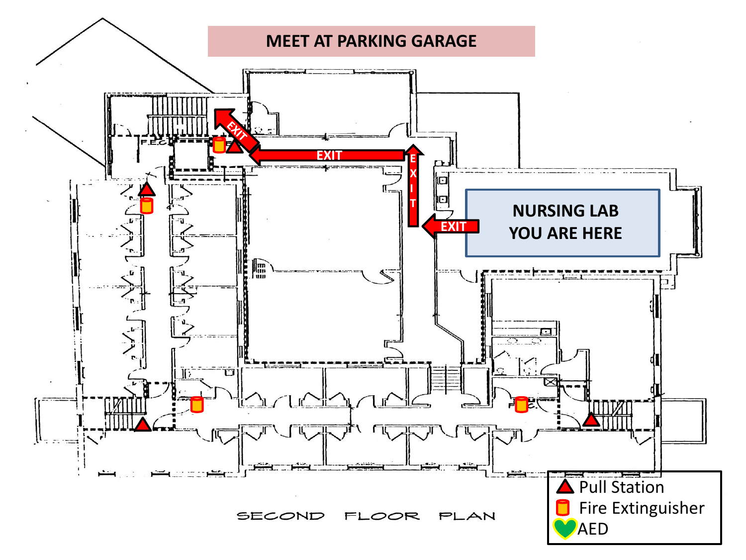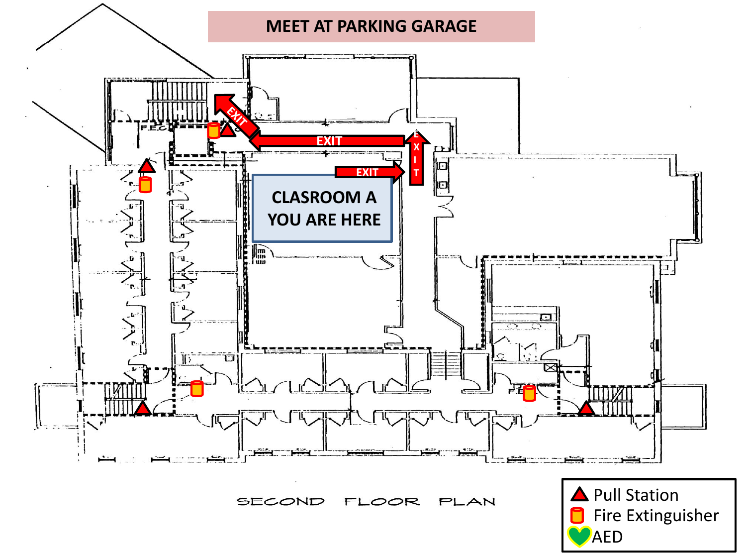

SECOND FLOOR PLAN

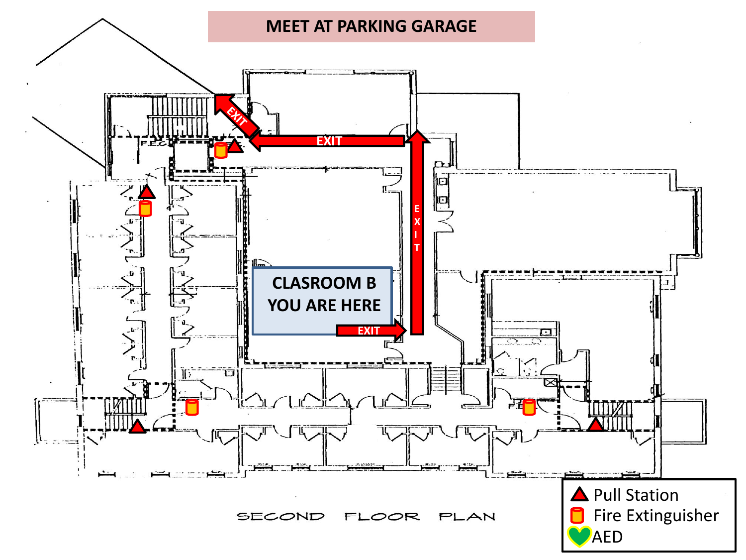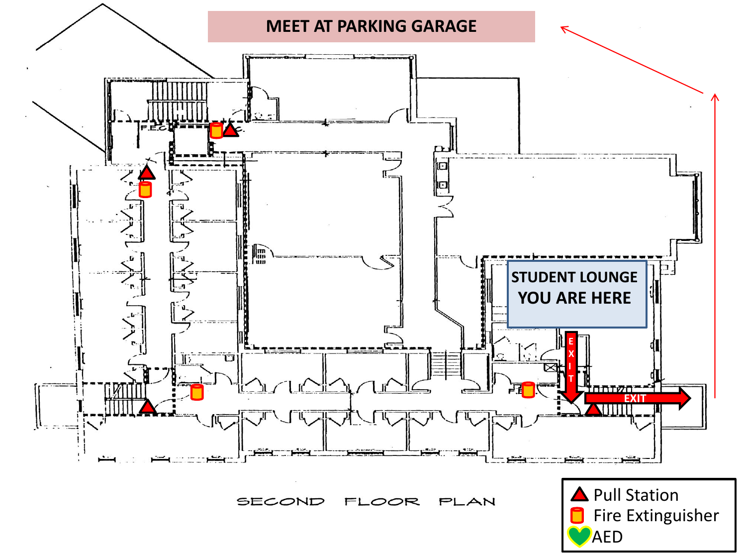

SECOND FLOOR PLAN

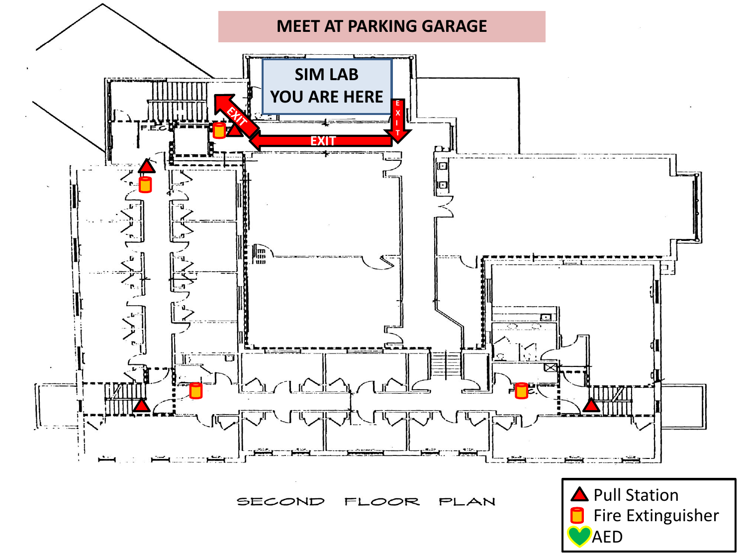

SECOND FLOOR PLAN